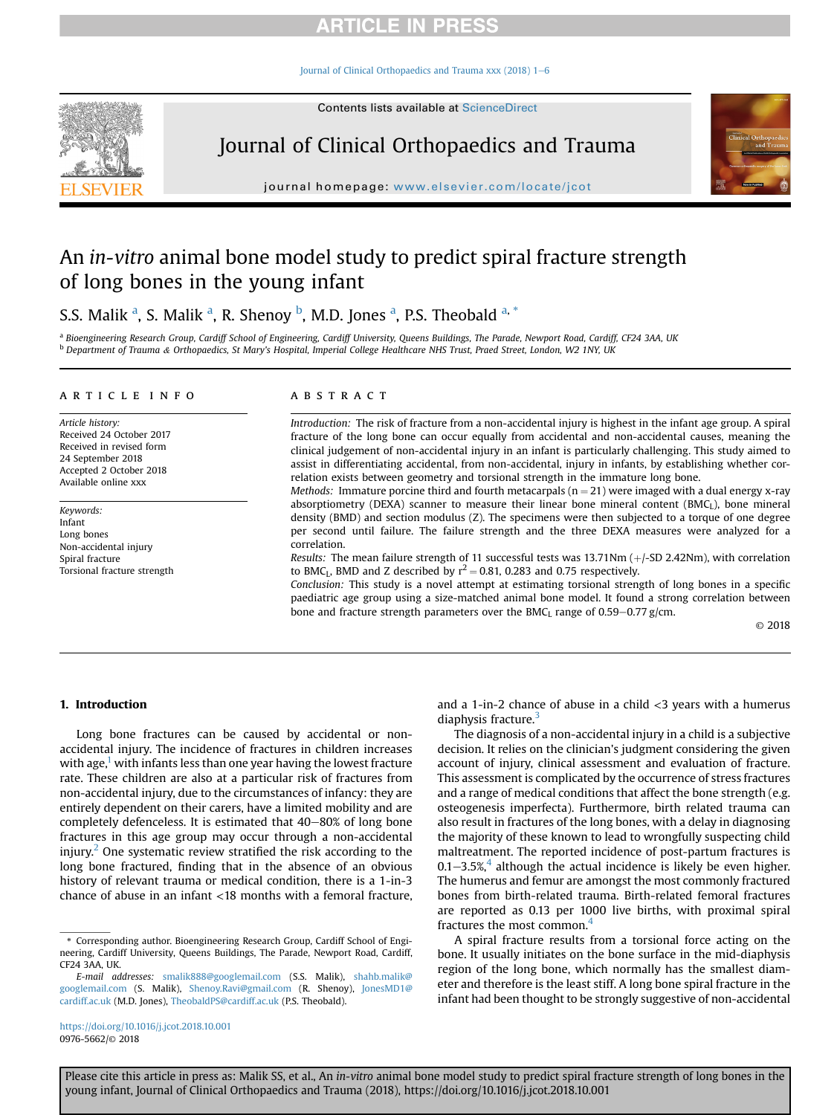## **ARTICLE IN PRESS**

[Journal of Clinical Orthopaedics and Trauma xxx \(2018\) 1](https://doi.org/10.1016/j.jcot.2018.10.001)-[6](https://doi.org/10.1016/j.jcot.2018.10.001)



# Journal of Clinical Orthopaedics and Trauma



journal homepage: <www.elsevier.com/locate/jcot>

# An in-vitro animal bone model study to predict spiral fracture strength of long bones in the young infant

S.S. Malik <sup>a</sup>, S. Malik <sup>a</sup>, R. Shenoy <sup>b</sup>, M.D. Jones <sup>a</sup>, P.S. Theobald <sup>a, \*</sup>

a Bioengineering Research Group, Cardiff School of Engineering, Cardiff University, Queens Buildings, The Parade, Newport Road, Cardiff, CF24 3AA, UK **b** Department of Trauma & Orthopaedics, St Mary's Hospital, Imperial College Healthcare NHS Trust, Praed Street, London, W2 1NY, UK

#### article info

Article history: Received 24 October 2017 Received in revised form 24 September 2018 Accepted 2 October 2018 Available online xxx

Keywords: Infant Long bones Non-accidental injury Spiral fracture Torsional fracture strength

### ABSTRACT

Introduction: The risk of fracture from a non-accidental injury is highest in the infant age group. A spiral fracture of the long bone can occur equally from accidental and non-accidental causes, meaning the clinical judgement of non-accidental injury in an infant is particularly challenging. This study aimed to assist in differentiating accidental, from non-accidental, injury in infants, by establishing whether correlation exists between geometry and torsional strength in the immature long bone.

*Methods:* Immature porcine third and fourth metacarpals ( $n = 21$ ) were imaged with a dual energy x-ray absorptiometry (DEXA) scanner to measure their linear bone mineral content (BMC $_l$ ), bone mineral density (BMD) and section modulus (Z). The specimens were then subjected to a torque of one degree per second until failure. The failure strength and the three DEXA measures were analyzed for a correlation.

Results: The mean failure strength of 11 successful tests was  $13.71$ Nm ( $+/-SD$  2.42Nm), with correlation to BMC<sub>L</sub>, BMD and Z described by  $r^2 = 0.81$ , 0.283 and 0.75 respectively.

Conclusion: This study is a novel attempt at estimating torsional strength of long bones in a specific paediatric age group using a size-matched animal bone model. It found a strong correlation between bone and fracture strength parameters over the BMC<sub>L</sub> range of  $0.59-0.77$  g/cm.

© 2018

## 1. Introduction

Long bone fractures can be caused by accidental or nonaccidental injury. The incidence of fractures in children increases with age, $<sup>1</sup>$  $<sup>1</sup>$  $<sup>1</sup>$  with infants less than one year having the lowest fracture</sup> rate. These children are also at a particular risk of fractures from non-accidental injury, due to the circumstances of infancy: they are entirely dependent on their carers, have a limited mobility and are completely defenceless. It is estimated that  $40-80\%$  of long bone fractures in this age group may occur through a non-accidental injury.<sup>[2](#page-5-0)</sup> One systematic review stratified the risk according to the long bone fractured, finding that in the absence of an obvious history of relevant trauma or medical condition, there is a 1-in-3 chance of abuse in an infant <18 months with a femoral fracture,

<https://doi.org/10.1016/j.jcot.2018.10.001> 0976-5662/© 2018

and a 1-in-2 chance of abuse in a child  $<$ 3 years with a humerus diaphysis fracture.<sup>[3](#page-5-0)</sup>

The diagnosis of a non-accidental injury in a child is a subjective decision. It relies on the clinician's judgment considering the given account of injury, clinical assessment and evaluation of fracture. This assessment is complicated by the occurrence of stress fractures and a range of medical conditions that affect the bone strength (e.g. osteogenesis imperfecta). Furthermore, birth related trauma can also result in fractures of the long bones, with a delay in diagnosing the majority of these known to lead to wrongfully suspecting child maltreatment. The reported incidence of post-partum fractures is 0.1–3.5%,<sup>[4](#page-5-0)</sup> although the actual incidence is likely be even higher. The humerus and femur are amongst the most commonly fractured bones from birth-related trauma. Birth-related femoral fractures are reported as 0.13 per 1000 live births, with proximal spiral fractures the most common.<sup>[4](#page-5-0)</sup>

A spiral fracture results from a torsional force acting on the bone. It usually initiates on the bone surface in the mid-diaphysis region of the long bone, which normally has the smallest diameter and therefore is the least stiff. A long bone spiral fracture in the infant had been thought to be strongly suggestive of non-accidental

<sup>\*</sup> Corresponding author. Bioengineering Research Group, Cardiff School of Engineering, Cardiff University, Queens Buildings, The Parade, Newport Road, Cardiff, CF24 3AA, UK.

E-mail addresses: [smalik888@googlemail.com](mailto:smalik888@googlemail.com) (S.S. Malik), [shahb.malik@](mailto:shahb.malik@googlemail.com) [googlemail.com](mailto:shahb.malik@googlemail.com) (S. Malik), [Shenoy.Ravi@gmail.com](mailto:Shenoy.Ravi@gmail.com) (R. Shenoy), [JonesMD1@](mailto:JonesMD1@cardiff.ac.uk) [cardiff.ac.uk](mailto:JonesMD1@cardiff.ac.uk) (M.D. Jones), [TheobaldPS@cardiff.ac.uk](mailto:TheobaldPS@cardiff.ac.uk) (P.S. Theobald).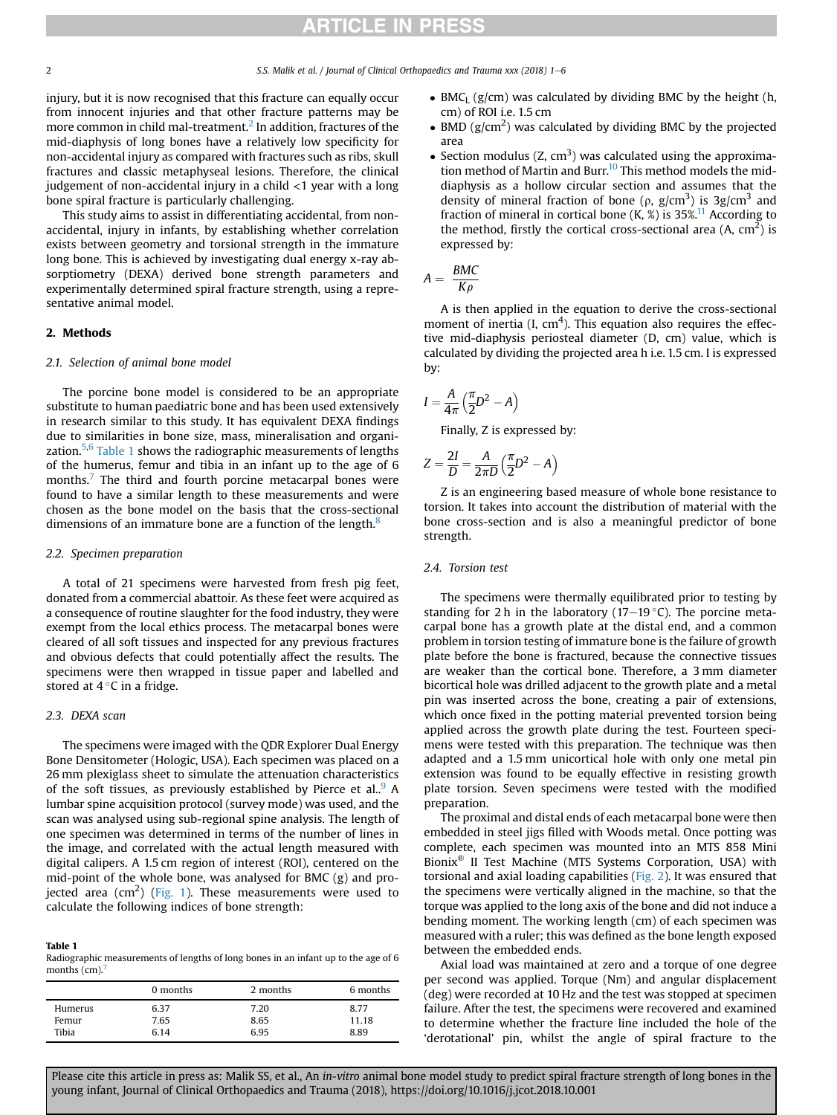## **RTICLE IN PRESS**

injury, but it is now recognised that this fracture can equally occur from innocent injuries and that other fracture patterns may be more common in child mal-treatment.<sup>[2](#page-5-0)</sup> In addition, fractures of the mid-diaphysis of long bones have a relatively low specificity for non-accidental injury as compared with fractures such as ribs, skull fractures and classic metaphyseal lesions. Therefore, the clinical judgement of non-accidental injury in a child  $\langle$ 1 year with a long bone spiral fracture is particularly challenging.

This study aims to assist in differentiating accidental, from nonaccidental, injury in infants, by establishing whether correlation exists between geometry and torsional strength in the immature long bone. This is achieved by investigating dual energy x-ray absorptiometry (DEXA) derived bone strength parameters and experimentally determined spiral fracture strength, using a representative animal model.

### 2. Methods

### 2.1. Selection of animal bone model

The porcine bone model is considered to be an appropriate substitute to human paediatric bone and has been used extensively in research similar to this study. It has equivalent DEXA findings due to similarities in bone size, mass, mineralisation and organization. $5,6$  Table 1 shows the radiographic measurements of lengths of the humerus, femur and tibia in an infant up to the age of 6 months.<sup>[7](#page-5-0)</sup> The third and fourth porcine metacarpal bones were found to have a similar length to these measurements and were chosen as the bone model on the basis that the cross-sectional dimensions of an immature bone are a function of the length.<sup>[8](#page-5-0)</sup>

### 2.2. Specimen preparation

A total of 21 specimens were harvested from fresh pig feet, donated from a commercial abattoir. As these feet were acquired as a consequence of routine slaughter for the food industry, they were exempt from the local ethics process. The metacarpal bones were cleared of all soft tissues and inspected for any previous fractures and obvious defects that could potentially affect the results. The specimens were then wrapped in tissue paper and labelled and stored at 4  $^{\circ}$ C in a fridge.

### 2.3. DEXA scan

The specimens were imaged with the QDR Explorer Dual Energy Bone Densitometer (Hologic, USA). Each specimen was placed on a 26 mm plexiglass sheet to simulate the attenuation characteristics of the soft tissues, as previously established by Pierce et al..<sup>[9](#page-5-0)</sup> A lumbar spine acquisition protocol (survey mode) was used, and the scan was analysed using sub-regional spine analysis. The length of one specimen was determined in terms of the number of lines in the image, and correlated with the actual length measured with digital calipers. A 1.5 cm region of interest (ROI), centered on the mid-point of the whole bone, was analysed for BMC (g) and pro-jected area (cm<sup>2</sup>) ([Fig. 1\)](#page-2-0). These measurements were used to calculate the following indices of bone strength:

#### Table 1

Radiographic measurements of lengths of long bones in an infant up to the age of 6 months  $(cm)$ .

|         | 0 months | 2 months | 6 months |
|---------|----------|----------|----------|
| Humerus | 6.37     | 7.20     | 8.77     |
| Femur   | 7.65     | 8.65     | 11.18    |
| Tibia   | 6.14     | 6.95     | 8.89     |

- $\bullet$  BMC<sub>L</sub> (g/cm) was calculated by dividing BMC by the height (h, cm) of ROI i.e. 1.5 cm
- BMD  $(g/cm<sup>2</sup>)$  was calculated by dividing BMC by the projected area
- Section modulus  $(Z, cm^3)$  was calculated using the approximation method of Martin and Burr.<sup>10</sup> This method models the middiaphysis as a hollow circular section and assumes that the density of mineral fraction of bone ( $\rho$ ,  $g/cm^3$ ) is 3g/cm<sup>3</sup> and fraction of mineral in cortical bone  $(K, \mathcal{X})$  is 35%.<sup>11</sup> According to the method, firstly the cortical cross-sectional area  $(A, cm<sup>2</sup>)$  is expressed by:

$$
A = \frac{BMC}{K\rho}
$$

A is then applied in the equation to derive the cross-sectional moment of inertia (I,  $cm<sup>4</sup>$ ). This equation also requires the effective mid-diaphysis periosteal diameter (D, cm) value, which is calculated by dividing the projected area h i.e. 1.5 cm. I is expressed by:

$$
I = \frac{A}{4\pi} \left(\frac{\pi}{2}D^2 - A\right)
$$

Finally, Z is expressed by:

$$
Z = \frac{2I}{D} = \frac{A}{2\pi D} \left(\frac{\pi}{2}D^2 - A\right)
$$

Z is an engineering based measure of whole bone resistance to torsion. It takes into account the distribution of material with the bone cross-section and is also a meaningful predictor of bone strength.

## 2.4. Torsion test

The specimens were thermally equilibrated prior to testing by standing for 2 h in the laboratory (17–19 $\degree$ C). The porcine metacarpal bone has a growth plate at the distal end, and a common problem in torsion testing of immature bone is the failure of growth plate before the bone is fractured, because the connective tissues are weaker than the cortical bone. Therefore, a 3 mm diameter bicortical hole was drilled adjacent to the growth plate and a metal pin was inserted across the bone, creating a pair of extensions, which once fixed in the potting material prevented torsion being applied across the growth plate during the test. Fourteen specimens were tested with this preparation. The technique was then adapted and a 1.5 mm unicortical hole with only one metal pin extension was found to be equally effective in resisting growth plate torsion. Seven specimens were tested with the modified preparation.

The proximal and distal ends of each metacarpal bone were then embedded in steel jigs filled with Woods metal. Once potting was complete, each specimen was mounted into an MTS 858 Mini Bionix® II Test Machine (MTS Systems Corporation, USA) with torsional and axial loading capabilities ([Fig. 2\)](#page-3-0). It was ensured that the specimens were vertically aligned in the machine, so that the torque was applied to the long axis of the bone and did not induce a bending moment. The working length (cm) of each specimen was measured with a ruler; this was defined as the bone length exposed between the embedded ends.

Axial load was maintained at zero and a torque of one degree per second was applied. Torque (Nm) and angular displacement (deg) were recorded at 10 Hz and the test was stopped at specimen failure. After the test, the specimens were recovered and examined to determine whether the fracture line included the hole of the 'derotational' pin, whilst the angle of spiral fracture to the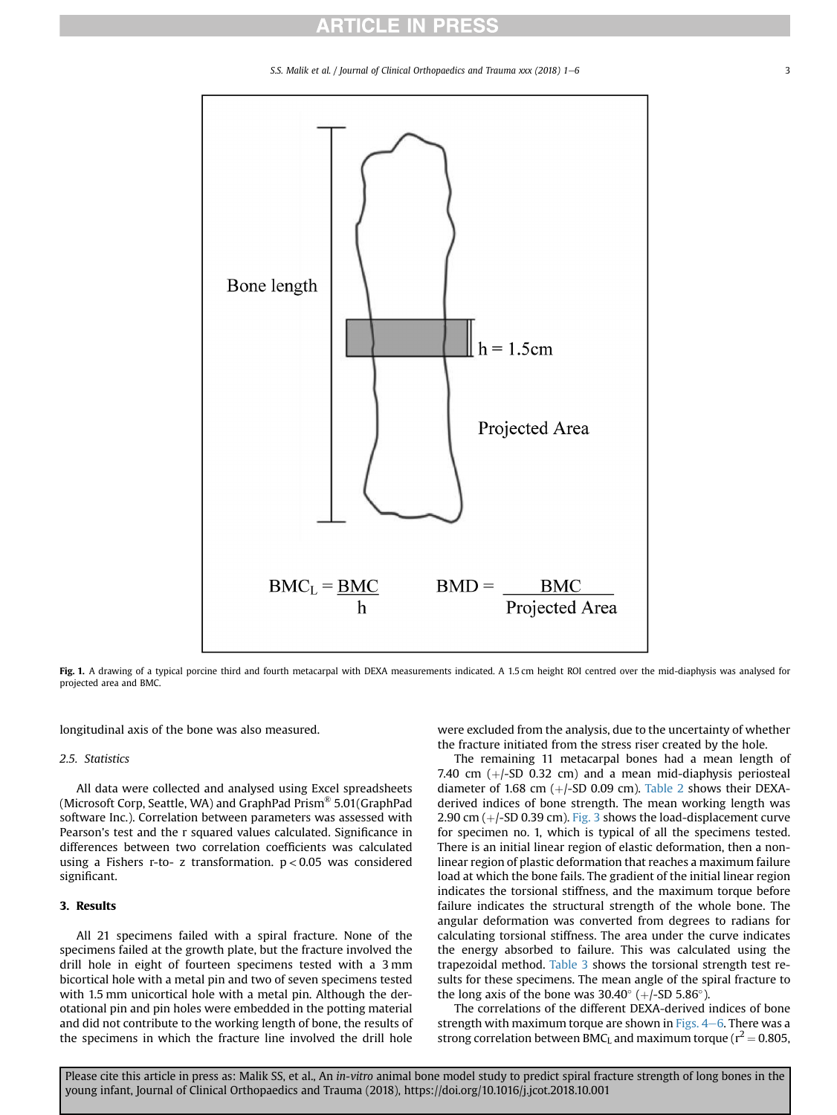## **ARTICLE IN PRESS**

S.S. Malik et al. / Journal of Clinical Orthopaedics and Trauma xxx (2018) 1-6 3

<span id="page-2-0"></span>

Fig. 1. A drawing of a typical porcine third and fourth metacarpal with DEXA measurements indicated. A 1.5 cm height ROI centred over the mid-diaphysis was analysed for projected area and BMC.

longitudinal axis of the bone was also measured.

## 2.5. Statistics

All data were collected and analysed using Excel spreadsheets (Microsoft Corp, Seattle, WA) and GraphPad Prism® 5.01(GraphPad software Inc.). Correlation between parameters was assessed with Pearson's test and the r squared values calculated. Significance in differences between two correlation coefficients was calculated using a Fishers r-to- z transformation.  $p < 0.05$  was considered significant.

## 3. Results

All 21 specimens failed with a spiral fracture. None of the specimens failed at the growth plate, but the fracture involved the drill hole in eight of fourteen specimens tested with a 3 mm bicortical hole with a metal pin and two of seven specimens tested with 1.5 mm unicortical hole with a metal pin. Although the derotational pin and pin holes were embedded in the potting material and did not contribute to the working length of bone, the results of the specimens in which the fracture line involved the drill hole

were excluded from the analysis, due to the uncertainty of whether the fracture initiated from the stress riser created by the hole.

The remaining 11 metacarpal bones had a mean length of 7.40 cm  $(+/-SD$  0.32 cm) and a mean mid-diaphysis periosteal diameter of 1.68 cm  $(+/-SD 0.09$  cm). [Table 2](#page-3-0) shows their DEXAderived indices of bone strength. The mean working length was 2.90 cm  $(+/-SD 0.39$  cm). [Fig. 3](#page-3-0) shows the load-displacement curve for specimen no. 1, which is typical of all the specimens tested. There is an initial linear region of elastic deformation, then a nonlinear region of plastic deformation that reaches a maximum failure load at which the bone fails. The gradient of the initial linear region indicates the torsional stiffness, and the maximum torque before failure indicates the structural strength of the whole bone. The angular deformation was converted from degrees to radians for calculating torsional stiffness. The area under the curve indicates the energy absorbed to failure. This was calculated using the trapezoidal method. [Table 3](#page-4-0) shows the torsional strength test results for these specimens. The mean angle of the spiral fracture to the long axis of the bone was  $30.40^{\circ}$  (+/-SD  $5.86^{\circ}$ ).

The correlations of the different DEXA-derived indices of bone strength with maximum torque are shown in Figs.  $4-6$  $4-6$ . There was a strong correlation between BMC<sub>L</sub> and maximum torque ( $r^2 = 0.805$ ,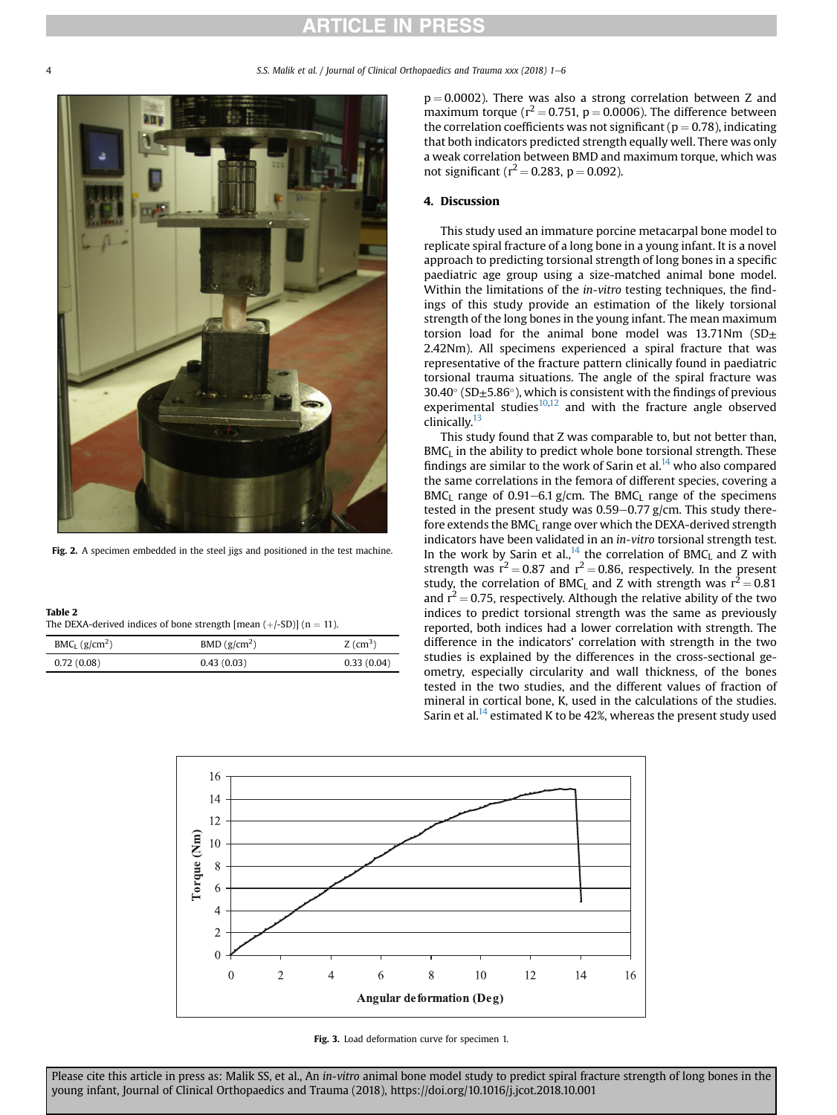## **RTICLE IN PRESS**

5.S. Malik et al. / Journal of Clinical Orthopaedics and Trauma xxx (2018)  $1-6$ 

<span id="page-3-0"></span>

Fig. 2. A specimen embedded in the steel jigs and positioned in the test machine.

| Table 2                                                               |  |
|-----------------------------------------------------------------------|--|
| The DEXA-derived indices of bone strength [mean $(+/-SD)$ ] (n = 11). |  |

| $BMC_L$ (g/cm <sup>2</sup> ) | BMD (g/cm <sup>2</sup> ) | $Z$ (cm <sup>3</sup> ) |
|------------------------------|--------------------------|------------------------|
| 0.72(0.08)                   | 0.43(0.03)               | 0.33(0.04)             |

 $p = 0.0002$ ). There was also a strong correlation between Z and maximum torque ( $r^2$  = 0.751, p = 0.0006). The difference between the correlation coefficients was not significant ( $p = 0.78$ ), indicating that both indicators predicted strength equally well. There was only a weak correlation between BMD and maximum torque, which was not significant ( $r^2$  = 0.283, p = 0.092).

## 4. Discussion

This study used an immature porcine metacarpal bone model to replicate spiral fracture of a long bone in a young infant. It is a novel approach to predicting torsional strength of long bones in a specific paediatric age group using a size-matched animal bone model. Within the limitations of the *in-vitro* testing techniques, the findings of this study provide an estimation of the likely torsional strength of the long bones in the young infant. The mean maximum torsion load for the animal bone model was 13.71Nm  $(SD<sub>±</sub>)$ 2.42Nm). All specimens experienced a spiral fracture that was representative of the fracture pattern clinically found in paediatric torsional trauma situations. The angle of the spiral fracture was 30.40 $\textdegree$  (SD $\pm$ 5.86 $\textdegree$ ), which is consistent with the findings of previous experimental studies $10,12$  and with the fracture angle observed clinically.<sup>[13](#page-5-0)</sup>

This study found that Z was comparable to, but not better than, BMC<sub>L</sub> in the ability to predict whole bone torsional strength. These findings are similar to the work of Sarin et al. $^{14}$  $^{14}$  $^{14}$  who also compared the same correlations in the femora of different species, covering a BMC<sub>L</sub> range of 0.91-6.1 g/cm. The BMC<sub>L</sub> range of the specimens tested in the present study was  $0.59-0.77$  g/cm. This study therefore extends the BMC<sub>I</sub> range over which the DEXA-derived strength indicators have been validated in an in-vitro torsional strength test. In the work by Sarin et al.,<sup>14</sup> the correlation of BMC<sub>L</sub> and Z with strength was  $r^2 = 0.87$  and  $r^2 = 0.86$ , respectively. In the present study, the correlation of BMC<sub>L</sub> and Z with strength was  $r^2 = 0.81$ and  $r^2$  = 0.75, respectively. Although the relative ability of the two indices to predict torsional strength was the same as previously reported, both indices had a lower correlation with strength. The difference in the indicators' correlation with strength in the two studies is explained by the differences in the cross-sectional geometry, especially circularity and wall thickness, of the bones tested in the two studies, and the different values of fraction of mineral in cortical bone, K, used in the calculations of the studies. Sarin et al.<sup>[14](#page-5-0)</sup> estimated K to be 42%, whereas the present study used



Fig. 3. Load deformation curve for specimen 1.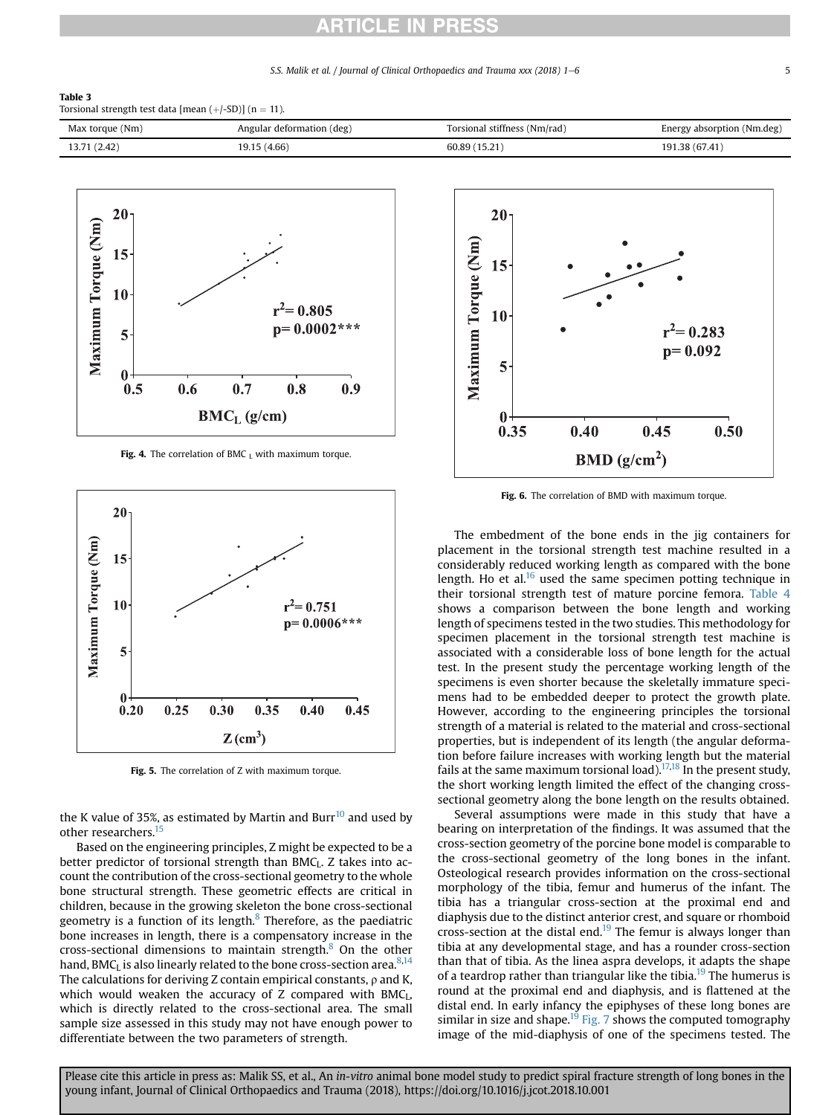## **RTICLE IN PRESS**

### S.S. Malik et al. / Journal of Clinical Orthopaedics and Trauma xxx (2018) 1–6 5

#### <span id="page-4-0"></span>Table 3

Torsional strength test data [mean  $(+/-SD)$ ] (n = 11).





Fig. 4. The correlation of BMC  $<sub>L</sub>$  with maximum torque.</sub>



Fig. 5. The correlation of Z with maximum torque.

the K value of 35%, as estimated by Martin and Burr $^{10}$  $^{10}$  $^{10}$  and used by other researchers.<sup>15</sup>

Based on the engineering principles, Z might be expected to be a better predictor of torsional strength than  $BMC<sub>L</sub>$ . Z takes into account the contribution of the cross-sectional geometry to the whole bone structural strength. These geometric effects are critical in children, because in the growing skeleton the bone cross-sectional geometry is a function of its length. $8$  Therefore, as the paediatric bone increases in length, there is a compensatory increase in the cross-sectional dimensions to maintain strength. $8$  On the other hand, BMC<sub>L</sub> is also linearly related to the bone cross-section area.<sup>8,14</sup> The calculations for deriving Z contain empirical constants,  $\rho$  and K, which would weaken the accuracy of  $Z$  compared with  $BMC<sub>L</sub>$ , which is directly related to the cross-sectional area. The small sample size assessed in this study may not have enough power to differentiate between the two parameters of strength.



Fig. 6. The correlation of BMD with maximum torque.

The embedment of the bone ends in the jig containers for placement in the torsional strength test machine resulted in a considerably reduced working length as compared with the bone length. Ho et al. $^{16}$  $^{16}$  $^{16}$  used the same specimen potting technique in their torsional strength test of mature porcine femora. [Table 4](#page-5-0) shows a comparison between the bone length and working length of specimens tested in the two studies. This methodology for specimen placement in the torsional strength test machine is associated with a considerable loss of bone length for the actual test. In the present study the percentage working length of the specimens is even shorter because the skeletally immature specimens had to be embedded deeper to protect the growth plate. However, according to the engineering principles the torsional strength of a material is related to the material and cross-sectional properties, but is independent of its length (the angular deformation before failure increases with working length but the material fails at the same maximum torsional load).<sup>[17,18](#page-5-0)</sup> In the present study, the short working length limited the effect of the changing crosssectional geometry along the bone length on the results obtained.

Several assumptions were made in this study that have a bearing on interpretation of the findings. It was assumed that the cross-section geometry of the porcine bone model is comparable to the cross-sectional geometry of the long bones in the infant. Osteological research provides information on the cross-sectional morphology of the tibia, femur and humerus of the infant. The tibia has a triangular cross-section at the proximal end and diaphysis due to the distinct anterior crest, and square or rhomboid cross-section at the distal end.<sup>[19](#page-5-0)</sup> The femur is always longer than tibia at any developmental stage, and has a rounder cross-section than that of tibia. As the linea aspra develops, it adapts the shape of a teardrop rather than triangular like the tibia.<sup>[19](#page-5-0)</sup> The humerus is round at the proximal end and diaphysis, and is flattened at the distal end. In early infancy the epiphyses of these long bones are similar in size and shape.<sup>[19](#page-5-0)</sup> [Fig. 7](#page-5-0) shows the computed tomography image of the mid-diaphysis of one of the specimens tested. The